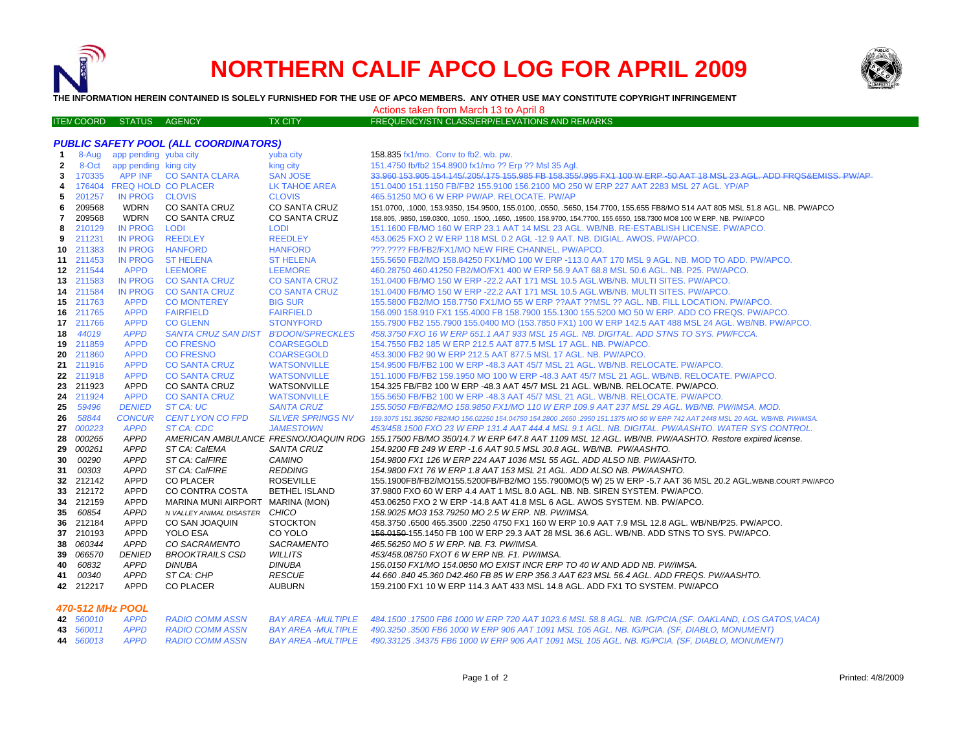

# **NORTHERN CALIF APCO LOG FOR APRIL 2009**



**THE INFORMATION HEREIN CONTAINED IS SOLELY FURNISHED FOR THE USE OF APCO MEMBERS. ANY OTHER USE MAY CONSTITUTE COPYRIGHT INFRINGEMENT**

Actions taken from March 13 to April 8

| <b>ITEN COORD STATUS AGENCY</b> |  | TX CITY ' | $\,$ FREQUENCY/STN CLASS/ERP/ELEVATIONS AND REMARKS $\,$ |
|---------------------------------|--|-----------|----------------------------------------------------------|
|                                 |  |           |                                                          |

| 8-Aug app pending yuba city<br>158.835 fx1/mo. Conv to fb2. wb. pw.<br>$\mathbf{1}$<br>yuba city<br>8-Oct<br>151.4750 fb/fb2 154.8900 fx1/mo ?? Erp ?? Msl 35 Aql.<br>$\mathbf{2}$<br>app pending king city<br>king city<br>APP INF CO SANTA CLARA<br><b>SAN JOSE</b><br>33.960 153.905 154.145/.205/.175 155.985 FB 158.355/.995 FX1 100 W ERP -50 AAT 18 MSL 23 AGL. ADD FRQS&EMISS. PW/AP<br>170335<br>3<br>176404 FREQ HOLD CO PLACER<br>LK TAHOE AREA<br>151.0400 151.1150 FB/FB2 155.9100 156.2100 MO 250 W ERP 227 AAT 2283 MSL 27 AGL, YP/AP<br>4<br>201257<br>IN PROG CLOVIS<br><b>CLOVIS</b><br>465.51250 MO 6 W ERP PW/AP, RELOCATE, PW/AP<br>5<br>209568<br><b>WDRN</b><br><b>CO SANTA CRUZ</b><br>6<br>CO SANTA CRUZ<br>151.0700, .1000, 153.9350, 154.9500, 155.0100, .0550, .5650, 154.7700, 155.655 FB8/MO 514 AAT 805 MSL 51.8 AGL. NB. PW/APCO<br>209568<br><b>WDRN</b><br>CO SANTA CRUZ<br><b>CO SANTA CRUZ</b><br>7<br>158.805, .9850, 159.0300, .1050, .1500, .1650, .19500, 158.9700, 154.7700, 155.6550, 158.7300 MO8 100 W ERP. NB. PW/APCO<br><b>IN PROG</b><br>210129<br><b>LODI</b><br>8<br><b>LODI</b><br>151.1600 FB/MO 160 W ERP 23.1 AAT 14 MSL 23 AGL. WB/NB. RE-ESTABLISH LICENSE. PW/APCO.<br>211231<br><b>IN PROG</b><br>REEDLEY<br><b>REEDLEY</b><br>453.0625 FXO 2 W ERP 118 MSL 0.2 AGL -12.9 AAT. NB. DIGIAL. AWOS. PW/APCO.<br>9<br>211383<br><b>IN PROG</b><br><b>HANFORD</b><br>???.???? FB/FB2/FX1/MO NEW FIRE CHANNEL, PW/APCO.<br><b>HANFORD</b><br>10<br>11 211453<br><b>IN PROG</b><br><b>ST HELENA</b><br><b>ST HELENA</b><br>155,5650 FB2/MO 158,84250 FX1/MO 100 W ERP -113.0 AAT 170 MSL 9 AGL, NB, MOD TO ADD, PW/APCO,<br>12 211544<br><b>APPD</b><br><b>LEEMORE</b><br><b>LEEMORE</b><br>460.28750 460.41250 FB2/MO/FX1 400 W ERP 56.9 AAT 68.8 MSL 50.6 AGL. NB. P25. PW/APCO. | <b>PUBLIC SAFETY POOL (ALL COORDINATORS)</b> |  |  |  |  |  |
|---------------------------------------------------------------------------------------------------------------------------------------------------------------------------------------------------------------------------------------------------------------------------------------------------------------------------------------------------------------------------------------------------------------------------------------------------------------------------------------------------------------------------------------------------------------------------------------------------------------------------------------------------------------------------------------------------------------------------------------------------------------------------------------------------------------------------------------------------------------------------------------------------------------------------------------------------------------------------------------------------------------------------------------------------------------------------------------------------------------------------------------------------------------------------------------------------------------------------------------------------------------------------------------------------------------------------------------------------------------------------------------------------------------------------------------------------------------------------------------------------------------------------------------------------------------------------------------------------------------------------------------------------------------------------------------------------------------------------------------------------------------------------------------------------------------------------------------|----------------------------------------------|--|--|--|--|--|
|                                                                                                                                                                                                                                                                                                                                                                                                                                                                                                                                                                                                                                                                                                                                                                                                                                                                                                                                                                                                                                                                                                                                                                                                                                                                                                                                                                                                                                                                                                                                                                                                                                                                                                                                                                                                                                       |                                              |  |  |  |  |  |
|                                                                                                                                                                                                                                                                                                                                                                                                                                                                                                                                                                                                                                                                                                                                                                                                                                                                                                                                                                                                                                                                                                                                                                                                                                                                                                                                                                                                                                                                                                                                                                                                                                                                                                                                                                                                                                       |                                              |  |  |  |  |  |
|                                                                                                                                                                                                                                                                                                                                                                                                                                                                                                                                                                                                                                                                                                                                                                                                                                                                                                                                                                                                                                                                                                                                                                                                                                                                                                                                                                                                                                                                                                                                                                                                                                                                                                                                                                                                                                       |                                              |  |  |  |  |  |
|                                                                                                                                                                                                                                                                                                                                                                                                                                                                                                                                                                                                                                                                                                                                                                                                                                                                                                                                                                                                                                                                                                                                                                                                                                                                                                                                                                                                                                                                                                                                                                                                                                                                                                                                                                                                                                       |                                              |  |  |  |  |  |
|                                                                                                                                                                                                                                                                                                                                                                                                                                                                                                                                                                                                                                                                                                                                                                                                                                                                                                                                                                                                                                                                                                                                                                                                                                                                                                                                                                                                                                                                                                                                                                                                                                                                                                                                                                                                                                       |                                              |  |  |  |  |  |
|                                                                                                                                                                                                                                                                                                                                                                                                                                                                                                                                                                                                                                                                                                                                                                                                                                                                                                                                                                                                                                                                                                                                                                                                                                                                                                                                                                                                                                                                                                                                                                                                                                                                                                                                                                                                                                       |                                              |  |  |  |  |  |
|                                                                                                                                                                                                                                                                                                                                                                                                                                                                                                                                                                                                                                                                                                                                                                                                                                                                                                                                                                                                                                                                                                                                                                                                                                                                                                                                                                                                                                                                                                                                                                                                                                                                                                                                                                                                                                       |                                              |  |  |  |  |  |
|                                                                                                                                                                                                                                                                                                                                                                                                                                                                                                                                                                                                                                                                                                                                                                                                                                                                                                                                                                                                                                                                                                                                                                                                                                                                                                                                                                                                                                                                                                                                                                                                                                                                                                                                                                                                                                       |                                              |  |  |  |  |  |
|                                                                                                                                                                                                                                                                                                                                                                                                                                                                                                                                                                                                                                                                                                                                                                                                                                                                                                                                                                                                                                                                                                                                                                                                                                                                                                                                                                                                                                                                                                                                                                                                                                                                                                                                                                                                                                       |                                              |  |  |  |  |  |
|                                                                                                                                                                                                                                                                                                                                                                                                                                                                                                                                                                                                                                                                                                                                                                                                                                                                                                                                                                                                                                                                                                                                                                                                                                                                                                                                                                                                                                                                                                                                                                                                                                                                                                                                                                                                                                       |                                              |  |  |  |  |  |
|                                                                                                                                                                                                                                                                                                                                                                                                                                                                                                                                                                                                                                                                                                                                                                                                                                                                                                                                                                                                                                                                                                                                                                                                                                                                                                                                                                                                                                                                                                                                                                                                                                                                                                                                                                                                                                       |                                              |  |  |  |  |  |
|                                                                                                                                                                                                                                                                                                                                                                                                                                                                                                                                                                                                                                                                                                                                                                                                                                                                                                                                                                                                                                                                                                                                                                                                                                                                                                                                                                                                                                                                                                                                                                                                                                                                                                                                                                                                                                       |                                              |  |  |  |  |  |
| 211583<br><b>IN PROG</b><br><b>CO SANTA CRUZ</b><br><b>CO SANTA CRUZ</b><br>151.0400 FB/MO 150 W ERP -22.2 AAT 171 MSL 10.5 AGL.WB/NB. MULTI SITES. PW/APCO.<br>13                                                                                                                                                                                                                                                                                                                                                                                                                                                                                                                                                                                                                                                                                                                                                                                                                                                                                                                                                                                                                                                                                                                                                                                                                                                                                                                                                                                                                                                                                                                                                                                                                                                                    |                                              |  |  |  |  |  |
| 14 211584<br><b>IN PROG</b><br><b>CO SANTA CRUZ</b><br><b>CO SANTA CRUZ</b><br>151,0400 FB/MO 150 W ERP -22.2 AAT 171 MSL 10.5 AGL.WB/NB, MULTI SITES, PW/APCO,                                                                                                                                                                                                                                                                                                                                                                                                                                                                                                                                                                                                                                                                                                                                                                                                                                                                                                                                                                                                                                                                                                                                                                                                                                                                                                                                                                                                                                                                                                                                                                                                                                                                       |                                              |  |  |  |  |  |
| 211763<br><b>APPD</b><br><b>CO MONTEREY</b><br><b>BIG SUR</b><br>155.5800 FB2/MO 158.7750 FX1/MO 55 W ERP ??AAT ??MSL ?? AGL. NB. FILL LOCATION. PW/APCO.<br>15                                                                                                                                                                                                                                                                                                                                                                                                                                                                                                                                                                                                                                                                                                                                                                                                                                                                                                                                                                                                                                                                                                                                                                                                                                                                                                                                                                                                                                                                                                                                                                                                                                                                       |                                              |  |  |  |  |  |
| 211765<br><b>APPD</b><br><b>FAIRFIELD</b><br><b>FAIRFIELD</b><br>156.090 158.910 FX1 155.4000 FB 158.7900 155.1300 155.5200 MO 50 W ERP. ADD CO FREQS. PW/APCO.<br>16                                                                                                                                                                                                                                                                                                                                                                                                                                                                                                                                                                                                                                                                                                                                                                                                                                                                                                                                                                                                                                                                                                                                                                                                                                                                                                                                                                                                                                                                                                                                                                                                                                                                 |                                              |  |  |  |  |  |
| 211766<br><b>APPD</b><br><b>CO GLENN</b><br><b>STONYFORD</b><br>155.7900 FB2 155.7900 155.0400 MO (153.7850 FX1) 100 W ERP 142.5 AAT 488 MSL 24 AGL. WB/NB. PW/APCO.<br>17                                                                                                                                                                                                                                                                                                                                                                                                                                                                                                                                                                                                                                                                                                                                                                                                                                                                                                                                                                                                                                                                                                                                                                                                                                                                                                                                                                                                                                                                                                                                                                                                                                                            |                                              |  |  |  |  |  |
| 44019<br><b>APPD</b><br>SANTA CRUZ SAN DIST B'DOON/SPRECKLES<br>458.3750 FXO 16 W ERP 651.1 AAT 933 MSL 15 AGL. NB. DIGITAL. ADD STNS TO SYS. PW/FCCA.<br>18                                                                                                                                                                                                                                                                                                                                                                                                                                                                                                                                                                                                                                                                                                                                                                                                                                                                                                                                                                                                                                                                                                                                                                                                                                                                                                                                                                                                                                                                                                                                                                                                                                                                          |                                              |  |  |  |  |  |
| 211859<br><b>APPD</b><br><b>CO FRESNO</b><br><b>COARSEGOLD</b><br>154.7550 FB2 185 W ERP 212.5 AAT 877.5 MSL 17 AGL. NB. PW/APCO.<br>19                                                                                                                                                                                                                                                                                                                                                                                                                                                                                                                                                                                                                                                                                                                                                                                                                                                                                                                                                                                                                                                                                                                                                                                                                                                                                                                                                                                                                                                                                                                                                                                                                                                                                               |                                              |  |  |  |  |  |
| 211860<br><b>APPD</b><br><b>CO FRESNO</b><br><b>COARSEGOLD</b><br>453,3000 FB2 90 W ERP 212.5 AAT 877.5 MSL 17 AGL, NB, PW/APCO,<br>20                                                                                                                                                                                                                                                                                                                                                                                                                                                                                                                                                                                                                                                                                                                                                                                                                                                                                                                                                                                                                                                                                                                                                                                                                                                                                                                                                                                                                                                                                                                                                                                                                                                                                                |                                              |  |  |  |  |  |
| 21<br>211916<br><b>APPD</b><br><b>CO SANTA CRUZ</b><br><b>WATSONVILLE</b><br>154,9500 FB/FB2 100 W ERP -48.3 AAT 45/7 MSL 21 AGL, WB/NB, RELOCATE, PW/APCO,                                                                                                                                                                                                                                                                                                                                                                                                                                                                                                                                                                                                                                                                                                                                                                                                                                                                                                                                                                                                                                                                                                                                                                                                                                                                                                                                                                                                                                                                                                                                                                                                                                                                           |                                              |  |  |  |  |  |
| <b>APPD</b><br><b>WATSONVILLE</b><br>22 211918<br><b>CO SANTA CRUZ</b><br>151.1000 FB/FB2 159.1950 MO 100 W ERP -48.3 AAT 45/7 MSL 21 AGL. WB/NB. RELOCATE. PW/APCO.                                                                                                                                                                                                                                                                                                                                                                                                                                                                                                                                                                                                                                                                                                                                                                                                                                                                                                                                                                                                                                                                                                                                                                                                                                                                                                                                                                                                                                                                                                                                                                                                                                                                  |                                              |  |  |  |  |  |
| 211923<br><b>APPD</b><br><b>CO SANTA CRUZ</b><br>WATSONVILLE<br>154.325 FB/FB2 100 W ERP -48.3 AAT 45/7 MSL 21 AGL. WB/NB. RELOCATE. PW/APCO.<br>23                                                                                                                                                                                                                                                                                                                                                                                                                                                                                                                                                                                                                                                                                                                                                                                                                                                                                                                                                                                                                                                                                                                                                                                                                                                                                                                                                                                                                                                                                                                                                                                                                                                                                   |                                              |  |  |  |  |  |
| 211924<br><b>APPD</b><br><b>CO SANTA CRUZ</b><br>24<br><b>WATSONVILLE</b><br>155.5650 FB/FB2 100 W ERP -48.3 AAT 45/7 MSL 21 AGL. WB/NB. RELOCATE. PW/APCO.                                                                                                                                                                                                                                                                                                                                                                                                                                                                                                                                                                                                                                                                                                                                                                                                                                                                                                                                                                                                                                                                                                                                                                                                                                                                                                                                                                                                                                                                                                                                                                                                                                                                           |                                              |  |  |  |  |  |
| 59496<br><b>SANTA CRUZ</b><br><b>DENIED</b><br>ST CA: UC<br>155.5050 FB/FB2/MO 158.9850 FX1/MO 110 W ERP 109.9 AAT 237 MSL 29 AGL. WB/NB. PW/IMSA. MOD.<br>25                                                                                                                                                                                                                                                                                                                                                                                                                                                                                                                                                                                                                                                                                                                                                                                                                                                                                                                                                                                                                                                                                                                                                                                                                                                                                                                                                                                                                                                                                                                                                                                                                                                                         |                                              |  |  |  |  |  |
| 58844<br><b>CONCUR</b><br>CENT LYON CO FPD<br><b>SILVER SPRINGS NV</b><br>26<br>159.3075 151.36250 FB2/MO 156.02250 154.04750 154.2800 .2650 .2950 151.1375 MO 50 W ERP 742 AAT 2448 MSL 20 AGL. WB/NB. PW/IMSA.                                                                                                                                                                                                                                                                                                                                                                                                                                                                                                                                                                                                                                                                                                                                                                                                                                                                                                                                                                                                                                                                                                                                                                                                                                                                                                                                                                                                                                                                                                                                                                                                                      |                                              |  |  |  |  |  |
| 000223<br><b>APPD</b><br>27<br>ST CA: CDC<br><b>JAMESTOWN</b><br>453/458.1500 FXO 23 W ERP 131.4 AAT 444.4 MSL 9.1 AGL. NB. DIGITAL. PW/AASHTO. WATER SYS CONTROL.                                                                                                                                                                                                                                                                                                                                                                                                                                                                                                                                                                                                                                                                                                                                                                                                                                                                                                                                                                                                                                                                                                                                                                                                                                                                                                                                                                                                                                                                                                                                                                                                                                                                    |                                              |  |  |  |  |  |
| 000265<br><b>APPD</b><br>AMERICAN AMBULANCE FRESNO/JOAQUIN RDG 155.17500 FB/MO 350/14.7 W ERP 647.8 AAT 1109 MSL 12 AGL. WB/NB. PW/AASHTO. Restore expired license.<br>28                                                                                                                                                                                                                                                                                                                                                                                                                                                                                                                                                                                                                                                                                                                                                                                                                                                                                                                                                                                                                                                                                                                                                                                                                                                                                                                                                                                                                                                                                                                                                                                                                                                             |                                              |  |  |  |  |  |
| 000261<br><b>APPD</b><br><b>SANTA CRUZ</b><br>ST CA: CalEMA<br>154.9200 FB 249 W ERP -1.6 AAT 90.5 MSL 30.8 AGL. WB/NB. PW/AASHTO.<br>29                                                                                                                                                                                                                                                                                                                                                                                                                                                                                                                                                                                                                                                                                                                                                                                                                                                                                                                                                                                                                                                                                                                                                                                                                                                                                                                                                                                                                                                                                                                                                                                                                                                                                              |                                              |  |  |  |  |  |
| 00290<br><b>APPD</b><br>ST CA: CalFIRE<br>CAMINO<br>154.9800 FX1 126 W ERP 224 AAT 1036 MSL 55 AGL. ADD ALSO NB. PW/AASHTO.<br>30                                                                                                                                                                                                                                                                                                                                                                                                                                                                                                                                                                                                                                                                                                                                                                                                                                                                                                                                                                                                                                                                                                                                                                                                                                                                                                                                                                                                                                                                                                                                                                                                                                                                                                     |                                              |  |  |  |  |  |
| 00303<br><b>REDDING</b><br><b>APPD</b><br>ST CA: CalFIRE<br>154.9800 FX1 76 W ERP 1.8 AAT 153 MSL 21 AGL. ADD ALSO NB. PW/AASHTO.<br>31<br>212142<br><b>CO PLACER</b><br><b>ROSEVILLE</b><br>APPD                                                                                                                                                                                                                                                                                                                                                                                                                                                                                                                                                                                                                                                                                                                                                                                                                                                                                                                                                                                                                                                                                                                                                                                                                                                                                                                                                                                                                                                                                                                                                                                                                                     |                                              |  |  |  |  |  |
| 155.1900FB/FB2/MO155.5200FB/FB2/MO 155.7900MO(5 W) 25 W ERP -5.7 AAT 36 MSL 20.2 AGL.WB/NB.COURT.PW/APCO<br>32<br>212172<br><b>APPD</b><br>CO CONTRA COSTA<br><b>BETHEL ISLAND</b><br>37.9800 FXO 60 W ERP 4.4 AAT 1 MSL 8.0 AGL. NB. NB. SIREN SYSTEM. PW/APCO.<br>33                                                                                                                                                                                                                                                                                                                                                                                                                                                                                                                                                                                                                                                                                                                                                                                                                                                                                                                                                                                                                                                                                                                                                                                                                                                                                                                                                                                                                                                                                                                                                                |                                              |  |  |  |  |  |
| 212159<br><b>APPD</b><br>MARINA MUNI AIRPORT<br>MARINA (MON)<br>34<br>453.06250 FXO 2 W ERP -14.8 AAT 41.8 MSL 6 AGL. AWOS SYSTEM. NB. PW/APCO.                                                                                                                                                                                                                                                                                                                                                                                                                                                                                                                                                                                                                                                                                                                                                                                                                                                                                                                                                                                                                                                                                                                                                                                                                                                                                                                                                                                                                                                                                                                                                                                                                                                                                       |                                              |  |  |  |  |  |
| 60854<br><b>APPD</b><br>CHICO<br>35<br>158.9025 MO3 153.79250 MO 2.5 W ERP. NB. PW/IMSA.<br>N VALLEY ANIMAL DISASTER                                                                                                                                                                                                                                                                                                                                                                                                                                                                                                                                                                                                                                                                                                                                                                                                                                                                                                                                                                                                                                                                                                                                                                                                                                                                                                                                                                                                                                                                                                                                                                                                                                                                                                                  |                                              |  |  |  |  |  |
| 212184<br><b>APPD</b><br><b>STOCKTON</b><br>CO SAN JOAQUIN<br>.458.3750 .6500 465.3500 .2250 4750 FX1 160 W ERP 10.9 AAT 7.9 MSL 12.8 AGL. WB/NB/P25. PW/APCO<br>36                                                                                                                                                                                                                                                                                                                                                                                                                                                                                                                                                                                                                                                                                                                                                                                                                                                                                                                                                                                                                                                                                                                                                                                                                                                                                                                                                                                                                                                                                                                                                                                                                                                                   |                                              |  |  |  |  |  |
| 37 210193<br><b>APPD</b><br>YOLO ESA<br>CO YOLO<br>156.0150 155.1450 FB 100 W ERP 29.3 AAT 28 MSL 36.6 AGL. WB/NB. ADD STNS TO SYS. PW/APCO.                                                                                                                                                                                                                                                                                                                                                                                                                                                                                                                                                                                                                                                                                                                                                                                                                                                                                                                                                                                                                                                                                                                                                                                                                                                                                                                                                                                                                                                                                                                                                                                                                                                                                          |                                              |  |  |  |  |  |
| 060344<br><b>APPD</b><br>CO SACRAMENTO<br>SACRAMENTO<br>465.56250 MO 5 W ERP. NB. F3. PW/IMSA.<br>38                                                                                                                                                                                                                                                                                                                                                                                                                                                                                                                                                                                                                                                                                                                                                                                                                                                                                                                                                                                                                                                                                                                                                                                                                                                                                                                                                                                                                                                                                                                                                                                                                                                                                                                                  |                                              |  |  |  |  |  |
| 066570<br><b>DENIED</b><br><b>BROOKTRAILS CSD</b><br><b>WILLITS</b><br>453/458.08750 FXOT 6 W ERP NB. F1. PW/IMSA.<br>39                                                                                                                                                                                                                                                                                                                                                                                                                                                                                                                                                                                                                                                                                                                                                                                                                                                                                                                                                                                                                                                                                                                                                                                                                                                                                                                                                                                                                                                                                                                                                                                                                                                                                                              |                                              |  |  |  |  |  |
| 60832<br><b>APPD</b><br><b>DINUBA</b><br><b>DINUBA</b><br>156.0150 FX1/MO 154.0850 MO EXIST INCR ERP TO 40 W AND ADD NB. PW/IMSA.<br>40                                                                                                                                                                                                                                                                                                                                                                                                                                                                                                                                                                                                                                                                                                                                                                                                                                                                                                                                                                                                                                                                                                                                                                                                                                                                                                                                                                                                                                                                                                                                                                                                                                                                                               |                                              |  |  |  |  |  |
| 00340<br><b>RESCUE</b><br>APPD<br>ST CA: CHP<br>44.660 .840 45.360 D42.460 FB 85 W ERP 356.3 AAT 623 MSL 56.4 AGL. ADD FREQS. PW/AASHTO.<br>41                                                                                                                                                                                                                                                                                                                                                                                                                                                                                                                                                                                                                                                                                                                                                                                                                                                                                                                                                                                                                                                                                                                                                                                                                                                                                                                                                                                                                                                                                                                                                                                                                                                                                        |                                              |  |  |  |  |  |
| 42 212217<br><b>APPD</b><br><b>AUBURN</b><br>CO PLACER<br>159.2100 FX1 10 W ERP 114.3 AAT 433 MSL 14.8 AGL. ADD FX1 TO SYSTEM. PW/APCO                                                                                                                                                                                                                                                                                                                                                                                                                                                                                                                                                                                                                                                                                                                                                                                                                                                                                                                                                                                                                                                                                                                                                                                                                                                                                                                                                                                                                                                                                                                                                                                                                                                                                                |                                              |  |  |  |  |  |

#### *470-512 MHz POOL*

|  | <b>42</b> 560010 APPD RADIO COMM ASSN | BAY AREA -MULTIPLE 484.1500 .17500 FB6 1000 W ERP 720 AAT 1023.6 MSL 58.8 AGL. NB. IG/PCIA.(SF. OAKLAND, LOS GATOS,VACA)                        |
|--|---------------------------------------|-------------------------------------------------------------------------------------------------------------------------------------------------|
|  |                                       | 43 560011 APPD RADIO COMM ASSN BAY AREA -MULTIPLE 490.3250.3500 FB6 1000 W ERP 906 AAT 1091 MSL 105 AGL. NB. IG/PCIA. (SF, DIABLO, MONUMENT)    |
|  |                                       | 44 560013 APPD RADIO COMM ASSN BAY AREA -MULTIPLE 490.33125 .34375 FB6 1000 W ERP 906 AAT 1091 MSL 105 AGL. NB. IG/PCIA. (SF, DIABLO, MONUMENT) |